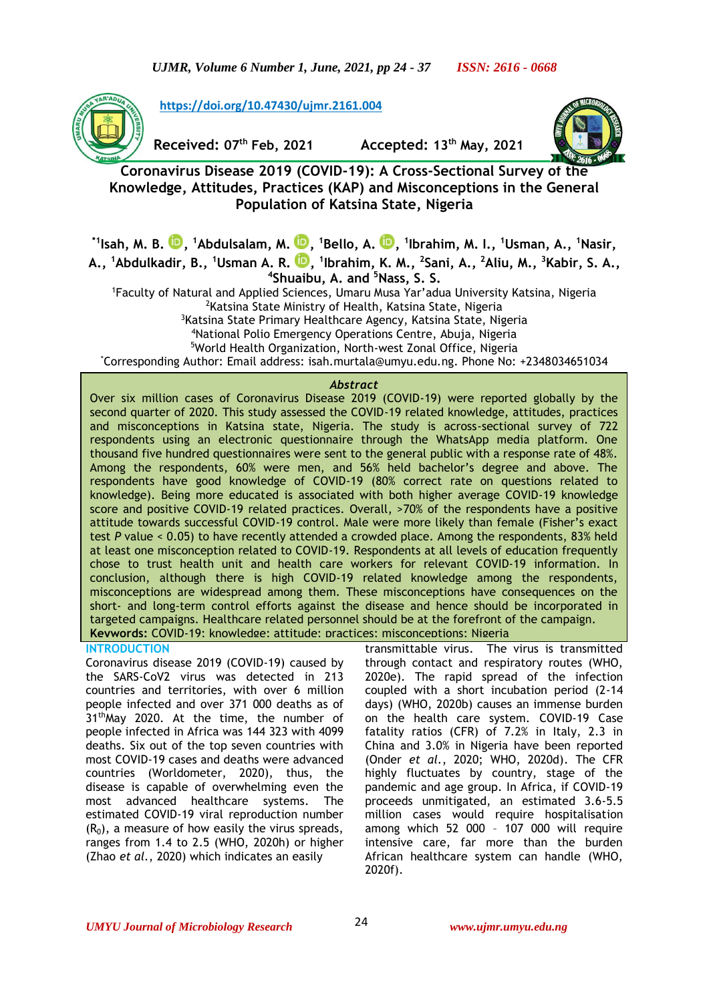

**[https://doi.org/10.47430/ujmr.2161.004](https://doi.org/10.47430/ujmr.2052.001)**

**Received: 07th Feb, 2021 Accepted: 13th May, 2021**



**Coronavirus Disease 2019 (COVID-19): A Cross-Sectional Survey of the Knowledge, Attitudes, Practices (KAP) and Misconceptions in the General Population of Katsina State, Nigeria**

**\*1Isah, M. B. [,](https://orcid.org/0000-0001-8883-3354) <sup>1</sup>Abdulsalam, M. [,](https://orcid.org/0000-0002-7908-7828) <sup>1</sup>Bello, A. [,](https://orcid.org/0000-0002-3105-914X) 1 Ibrahim, M. I., <sup>1</sup>Usman, A., <sup>1</sup>Nasir, A., <sup>1</sup>Abdulkadir, B., <sup>1</sup>Usman A. R. [,](https://orcid.org/0000-0002-4469-7335) 1 Ibrahim, K. M., <sup>2</sup> Sani, A., <sup>2</sup>Aliu, M., <sup>3</sup>Kabir, S. A.,** 

**4 Shuaibu, A. and <sup>5</sup>Nass, S. S.**

<sup>1</sup>Faculty of Natural and Applied Sciences, Umaru Musa Yar'adua University Katsina, Nigeria <sup>2</sup>Katsina State Ministry of Health, Katsina State, Nigeria

<sup>3</sup>Katsina State Primary Healthcare Agency, Katsina State, Nigeria

<sup>4</sup>National Polio Emergency Operations Centre, Abuja, Nigeria

<sup>5</sup>World Health Organization, North-west Zonal Office, Nigeria

\*Corresponding Author: Email address: isah.murtala@umyu.edu.ng. Phone No: +2348034651034

## *Abstract*

Over six million cases of Coronavirus Disease 2019 (COVID-19) were reported globally by the second quarter of 2020. This study assessed the COVID-19 related knowledge, attitudes, practices and misconceptions in Katsina state, Nigeria. The study is across-sectional survey of 722 respondents using an electronic questionnaire through the WhatsApp media platform. One thousand five hundred questionnaires were sent to the general public with a response rate of 48%. Among the respondents, 60% were men, and 56% held bachelor's degree and above. The respondents have good knowledge of COVID-19 (80% correct rate on questions related to knowledge). Being more educated is associated with both higher average COVID-19 knowledge score and positive COVID-19 related practices. Overall, >70% of the respondents have a positive attitude towards successful COVID-19 control. Male were more likely than female (Fisher's exact test *P* value < 0.05) to have recently attended a crowded place. Among the respondents, 83% held at least one misconception related to COVID-19. Respondents at all levels of education frequently chose to trust health unit and health care workers for relevant COVID-19 information. In conclusion, although there is high COVID-19 related knowledge among the respondents, misconceptions are widespread among them. These misconceptions have consequences on the short- and long-term control efforts against the disease and hence should be incorporated in targeted campaigns. Healthcare related personnel should be at the forefront of the campaign. **Keywords:** COVID-19; knowledge; attitude; practices; misconceptions; Nigeria

## **INTRODUCTION**

Coronavirus disease 2019 (COVID-19) caused by the SARS-CoV2 virus was detected in 213 countries and territories, with over 6 million people infected and over 371 000 deaths as of 31<sup>th</sup>May 2020. At the time, the number of people infected in Africa was 144 323 with 4099 deaths. Six out of the top seven countries with most COVID-19 cases and deaths were advanced countries (Worldometer, 2020), thus, the disease is capable of overwhelming even the most advanced healthcare systems. The estimated COVID-19 viral reproduction number  $(R_0)$ , a measure of how easily the virus spreads, ranges from 1.4 to 2.5 (WHO, 2020h) or higher (Zhao *et al.*, 2020) which indicates an easily

transmittable virus. The virus is transmitted through contact and respiratory routes (WHO, 2020e). The rapid spread of the infection coupled with a short incubation period (2-14 days) (WHO, 2020b) causes an immense burden on the health care system. COVID-19 Case fatality ratios (CFR) of 7.2% in Italy, 2.3 in China and 3.0% in Nigeria have been reported (Onder *et al.*, 2020; WHO, 2020d). The CFR highly fluctuates by country, stage of the pandemic and age group. In Africa, if COVID-19 proceeds unmitigated, an estimated 3.6-5.5 million cases would require hospitalisation among which 52 000 – 107 000 will require intensive care, far more than the burden African healthcare system can handle (WHO, 2020f).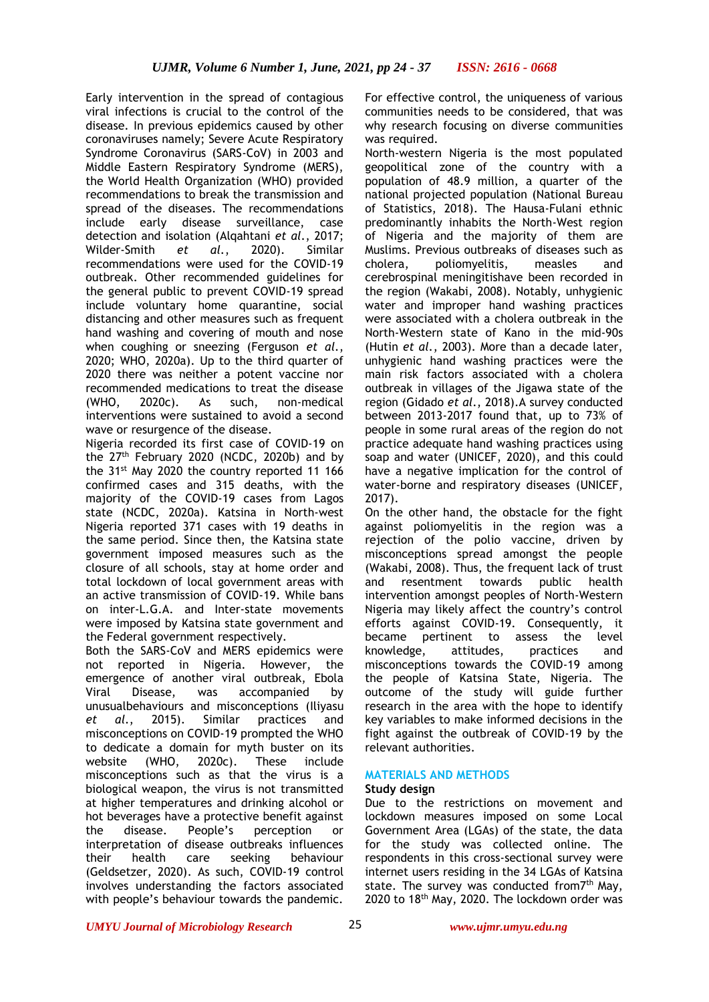Early intervention in the spread of contagious viral infections is crucial to the control of the disease. In previous epidemics caused by other coronaviruses namely; Severe Acute Respiratory Syndrome Coronavirus (SARS-CoV) in 2003 and Middle Eastern Respiratory Syndrome (MERS), the World Health Organization (WHO) provided recommendations to break the transmission and spread of the diseases. The recommendations include early disease surveillance, case detection and isolation (Alqahtani *et al.*, 2017; Wilder-Smith *et al.*, 2020). Similar recommendations were used for the COVID-19 outbreak. Other recommended guidelines for the general public to prevent COVID-19 spread include voluntary home quarantine, social distancing and other measures such as frequent hand washing and covering of mouth and nose when coughing or sneezing (Ferguson *et al.*, 2020; WHO, 2020a). Up to the third quarter of 2020 there was neither a potent vaccine nor recommended medications to treat the disease (WHO, 2020c). As such, non-medical interventions were sustained to avoid a second wave or resurgence of the disease.

Nigeria recorded its first case of COVID-19 on the  $27<sup>th</sup>$  February 2020 (NCDC, 2020b) and by the 31<sup>st</sup> May 2020 the country reported 11 166 confirmed cases and 315 deaths, with the majority of the COVID-19 cases from Lagos state (NCDC, 2020a). Katsina in North-west Nigeria reported 371 cases with 19 deaths in the same period. Since then, the Katsina state government imposed measures such as the closure of all schools, stay at home order and total lockdown of local government areas with an active transmission of COVID-19. While bans on inter-L.G.A. and Inter-state movements were imposed by Katsina state government and the Federal government respectively.

Both the SARS-CoV and MERS epidemics were not reported in Nigeria. However, the emergence of another viral outbreak, Ebola Viral Disease, was accompanied by unusualbehaviours and misconceptions (Iliyasu *et al.*, 2015). Similar practices and misconceptions on COVID-19 prompted the WHO to dedicate a domain for myth buster on its website (WHO, 2020c). These include misconceptions such as that the virus is a biological weapon, the virus is not transmitted at higher temperatures and drinking alcohol or hot beverages have a protective benefit against the disease. People's perception or interpretation of disease outbreaks influences their health care seeking behaviour (Geldsetzer, 2020). As such, COVID-19 control involves understanding the factors associated with people's behaviour towards the pandemic.

For effective control, the uniqueness of various communities needs to be considered, that was why research focusing on diverse communities was required.

North-western Nigeria is the most populated geopolitical zone of the country with a population of 48.9 million, a quarter of the national projected population (National Bureau of Statistics, 2018). The Hausa-Fulani ethnic predominantly inhabits the North-West region of Nigeria and the majority of them are Muslims. Previous outbreaks of diseases such as cholera, poliomyelitis, measles and cerebrospinal meningitishave been recorded in the region (Wakabi, 2008). Notably, unhygienic water and improper hand washing practices were associated with a cholera outbreak in the North-Western state of Kano in the mid-90s (Hutin *et al.*, 2003). More than a decade later, unhygienic hand washing practices were the main risk factors associated with a cholera outbreak in villages of the Jigawa state of the region (Gidado *et al.*, 2018).A survey conducted between 2013-2017 found that, up to 73% of people in some rural areas of the region do not practice adequate hand washing practices using soap and water (UNICEF, 2020), and this could have a negative implication for the control of water-borne and respiratory diseases (UNICEF, 2017).

On the other hand, the obstacle for the fight against poliomyelitis in the region was a rejection of the polio vaccine, driven by misconceptions spread amongst the people (Wakabi, 2008). Thus, the frequent lack of trust and resentment towards public health intervention amongst peoples of North-Western Nigeria may likely affect the country's control efforts against COVID-19. Consequently, it became pertinent to assess the level knowledge, attitudes, practices and misconceptions towards the COVID-19 among the people of Katsina State, Nigeria. The outcome of the study will guide further research in the area with the hope to identify key variables to make informed decisions in the fight against the outbreak of COVID-19 by the relevant authorities.

# **MATERIALS AND METHODS**

# **Study design**

Due to the restrictions on movement and lockdown measures imposed on some Local Government Area (LGAs) of the state, the data for the study was collected online. The respondents in this cross-sectional survey were internet users residing in the 34 LGAs of Katsina state. The survey was conducted from7<sup>th</sup> May, 2020 to 18<sup>th</sup> May, 2020. The lockdown order was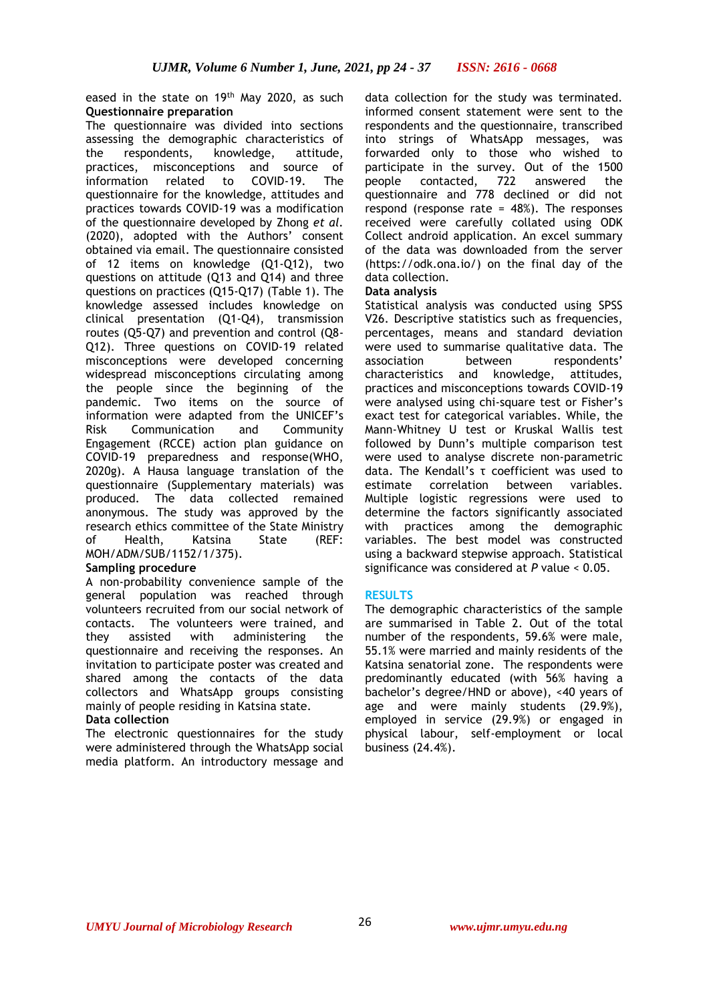# eased in the state on 19<sup>th</sup> May 2020, as such data collection for the study was terminated. **Questionnaire preparation**

The questionnaire was divided into sections assessing the demographic characteristics of the respondents, knowledge, attitude, practices, misconceptions and source of information related to COVID-19. The questionnaire for the knowledge, attitudes and practices towards COVID-19 was a modification of the questionnaire developed by Zhong *et al.* (2020), adopted with the Authors' consent obtained via email. The questionnaire consisted of 12 items on knowledge (Q1-Q12), two questions on attitude (Q13 and Q14) and three questions on practices (Q15-Q17) (Table 1). The knowledge assessed includes knowledge on clinical presentation (Q1-Q4), transmission routes (Q5-Q7) and prevention and control (Q8- Q12). Three questions on COVID-19 related misconceptions were developed concerning widespread misconceptions circulating among the people since the beginning of the pandemic. Two items on the source of information were adapted from the UNICEF's Risk Communication and Community Engagement (RCCE) action plan guidance on COVID-19 preparedness and response(WHO, 2020g). A Hausa language translation of the questionnaire (Supplementary materials) was produced. The data collected remained anonymous. The study was approved by the research ethics committee of the State Ministry of Health, Katsina State (REF: MOH/ADM/SUB/1152/1/375).

# **Sampling procedure**

A non-probability convenience sample of the general population was reached through volunteers recruited from our social network of contacts. The volunteers were trained, and they assisted with administering the questionnaire and receiving the responses. An invitation to participate poster was created and shared among the contacts of the data collectors and WhatsApp groups consisting mainly of people residing in Katsina state.

# **Data collection**

The electronic questionnaires for the study were administered through the WhatsApp social media platform. An introductory message and

informed consent statement were sent to the respondents and the questionnaire, transcribed into strings of WhatsApp messages, was forwarded only to those who wished to participate in the survey. Out of the 1500 people contacted, 722 answered the questionnaire and 778 declined or did not respond (response rate = 48%). The responses received were carefully collated using ODK Collect android application. An excel summary of the data was downloaded from the server (https://odk.ona.io/) on the final day of the data collection.

# **Data analysis**

Statistical analysis was conducted using SPSS V26. Descriptive statistics such as frequencies, percentages, means and standard deviation were used to summarise qualitative data. The association between respondents' characteristics and knowledge, attitudes, practices and misconceptions towards COVID-19 were analysed using chi-square test or Fisher's exact test for categorical variables. While, the Mann-Whitney U test or Kruskal Wallis test followed by Dunn's multiple comparison test were used to analyse discrete non-parametric data. The Kendall's τ coefficient was used to estimate correlation between variables. Multiple logistic regressions were used to determine the factors significantly associated with practices among the demographic variables. The best model was constructed using a backward stepwise approach. Statistical significance was considered at *P* value < 0.05.

# **RESULTS**

The demographic characteristics of the sample are summarised in Table 2. Out of the total number of the respondents, 59.6% were male, 55.1% were married and mainly residents of the Katsina senatorial zone. The respondents were predominantly educated (with 56% having a bachelor's degree/HND or above), <40 years of age and were mainly students (29.9%), employed in service (29.9%) or engaged in physical labour, self-employment or local business (24.4%).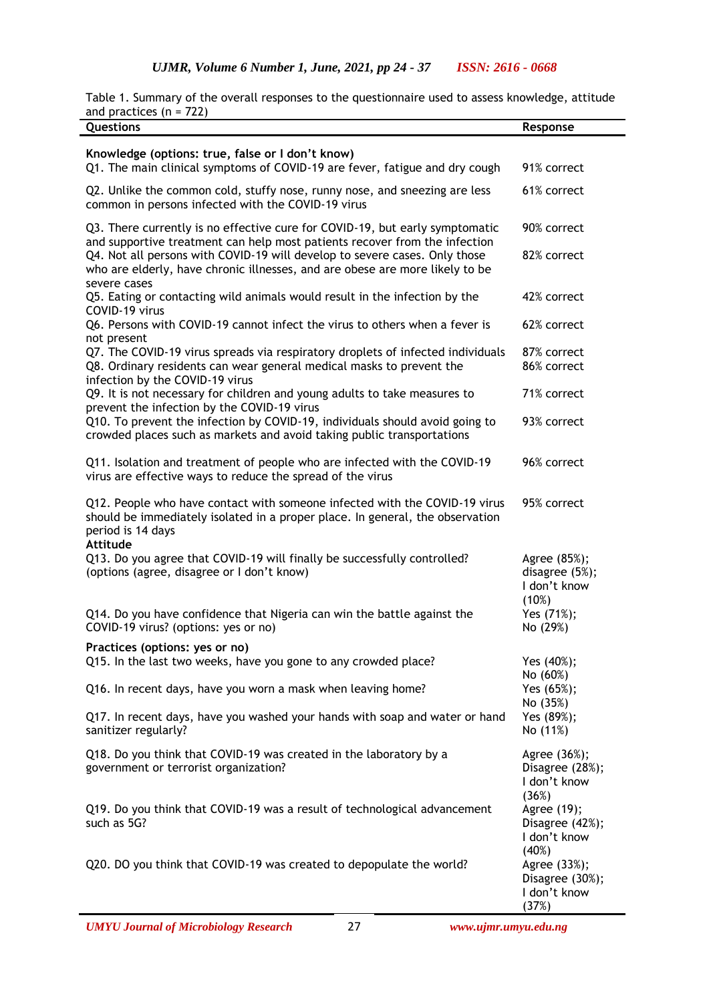Table 1. Summary of the overall responses to the questionnaire used to assess knowledge, attitude and practices  $(n = 722)$ 

| Questions                                                                                                                                                                                           | Response                                                 |
|-----------------------------------------------------------------------------------------------------------------------------------------------------------------------------------------------------|----------------------------------------------------------|
| Knowledge (options: true, false or I don't know)<br>Q1. The main clinical symptoms of COVID-19 are fever, fatigue and dry cough                                                                     | 91% correct                                              |
| Q2. Unlike the common cold, stuffy nose, runny nose, and sneezing are less<br>common in persons infected with the COVID-19 virus                                                                    | 61% correct                                              |
| Q3. There currently is no effective cure for COVID-19, but early symptomatic<br>and supportive treatment can help most patients recover from the infection                                          | 90% correct                                              |
| Q4. Not all persons with COVID-19 will develop to severe cases. Only those<br>who are elderly, have chronic illnesses, and are obese are more likely to be<br>severe cases                          | 82% correct                                              |
| Q5. Eating or contacting wild animals would result in the infection by the<br>COVID-19 virus                                                                                                        | 42% correct                                              |
| Q6. Persons with COVID-19 cannot infect the virus to others when a fever is<br>not present                                                                                                          | 62% correct                                              |
| Q7. The COVID-19 virus spreads via respiratory droplets of infected individuals<br>Q8. Ordinary residents can wear general medical masks to prevent the<br>infection by the COVID-19 virus          | 87% correct<br>86% correct                               |
| Q9. It is not necessary for children and young adults to take measures to<br>prevent the infection by the COVID-19 virus                                                                            | 71% correct                                              |
| Q10. To prevent the infection by COVID-19, individuals should avoid going to<br>crowded places such as markets and avoid taking public transportations                                              | 93% correct                                              |
| Q11. Isolation and treatment of people who are infected with the COVID-19<br>virus are effective ways to reduce the spread of the virus                                                             | 96% correct                                              |
| Q12. People who have contact with someone infected with the COVID-19 virus<br>should be immediately isolated in a proper place. In general, the observation<br>period is 14 days<br><b>Attitude</b> | 95% correct                                              |
| Q13. Do you agree that COVID-19 will finally be successfully controlled?<br>(options (agree, disagree or I don't know)                                                                              | Agree (85%);<br>disagree (5%);<br>I don't know<br>(10%)  |
| Q14. Do you have confidence that Nigeria can win the battle against the<br>COVID-19 virus? (options: yes or no)                                                                                     | Yes (71%);<br>No (29%)                                   |
| Practices (options: yes or no)<br>Q15. In the last two weeks, have you gone to any crowded place?                                                                                                   | Yes (40%);                                               |
| Q16. In recent days, have you worn a mask when leaving home?                                                                                                                                        | No (60%)<br>Yes (65%);                                   |
| Q17. In recent days, have you washed your hands with soap and water or hand<br>sanitizer regularly?                                                                                                 | No (35%)<br>Yes (89%);<br>No (11%)                       |
| Q18. Do you think that COVID-19 was created in the laboratory by a<br>government or terrorist organization?                                                                                         | Agree (36%);<br>Disagree (28%);<br>I don't know<br>(36%) |
| Q19. Do you think that COVID-19 was a result of technological advancement<br>such as 5G?                                                                                                            | Agree (19);<br>Disagree (42%);<br>I don't know<br>(40%)  |
| Q20. DO you think that COVID-19 was created to depopulate the world?                                                                                                                                | Agree (33%);<br>Disagree (30%);<br>I don't know<br>(37%) |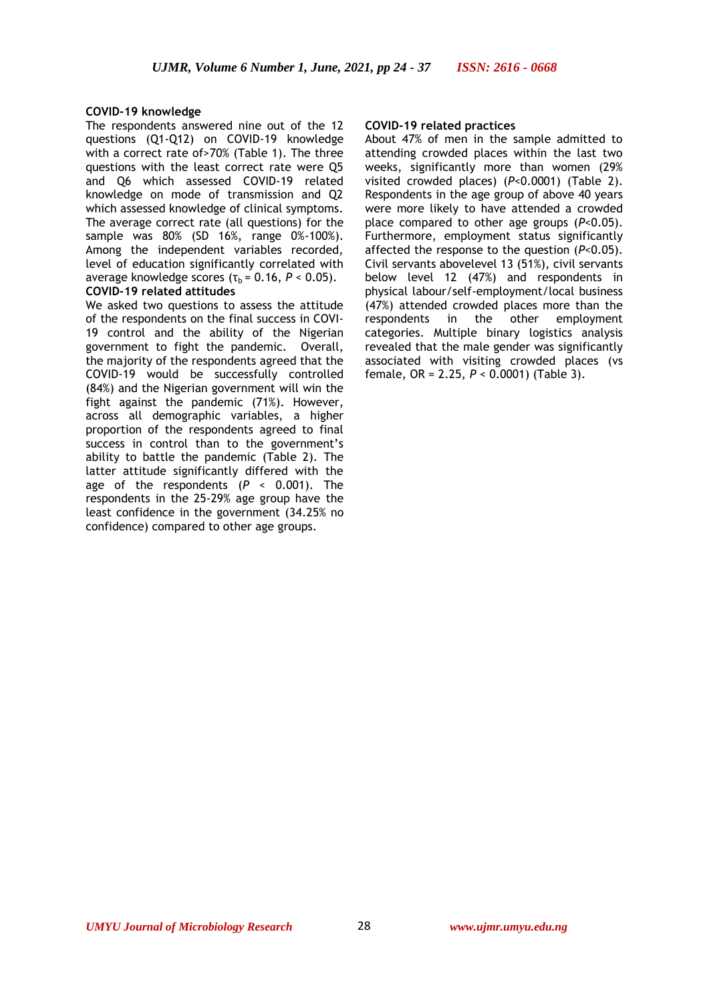## **COVID-19 knowledge**

The respondents answered nine out of the 12 questions (Q1-Q12) on COVID-19 knowledge with a correct rate of>70% (Table 1). The three questions with the least correct rate were Q5 and Q6 which assessed COVID-19 related knowledge on mode of transmission and Q2 which assessed knowledge of clinical symptoms. The average correct rate (all questions) for the sample was 80% (SD 16%, range 0%-100%). Among the independent variables recorded, level of education significantly correlated with average knowledge scores  $(\tau_b = 0.16, P < 0.05)$ . **COVID-19 related attitudes**

We asked two questions to assess the attitude of the respondents on the final success in COVI-19 control and the ability of the Nigerian government to fight the pandemic. Overall, the majority of the respondents agreed that the COVID-19 would be successfully controlled (84%) and the Nigerian government will win the fight against the pandemic (71%). However, across all demographic variables, a higher proportion of the respondents agreed to final success in control than to the government's ability to battle the pandemic (Table 2). The latter attitude significantly differed with the age of the respondents (*P* < 0.001). The respondents in the 25-29% age group have the least confidence in the government (34.25% no confidence) compared to other age groups.

### **COVID-19 related practices**

About 47% of men in the sample admitted to attending crowded places within the last two weeks, significantly more than women (29% visited crowded places) (*P*<0.0001) (Table 2). Respondents in the age group of above 40 years were more likely to have attended a crowded place compared to other age groups (*P*<0.05). Furthermore, employment status significantly affected the response to the question (*P*<0.05). Civil servants abovelevel 13 (51%), civil servants below level 12 (47%) and respondents in physical labour/self-employment/local business (47%) attended crowded places more than the respondents in the other employment categories. Multiple binary logistics analysis revealed that the male gender was significantly associated with visiting crowded places (vs female, OR = 2.25, *P* < 0.0001) (Table 3).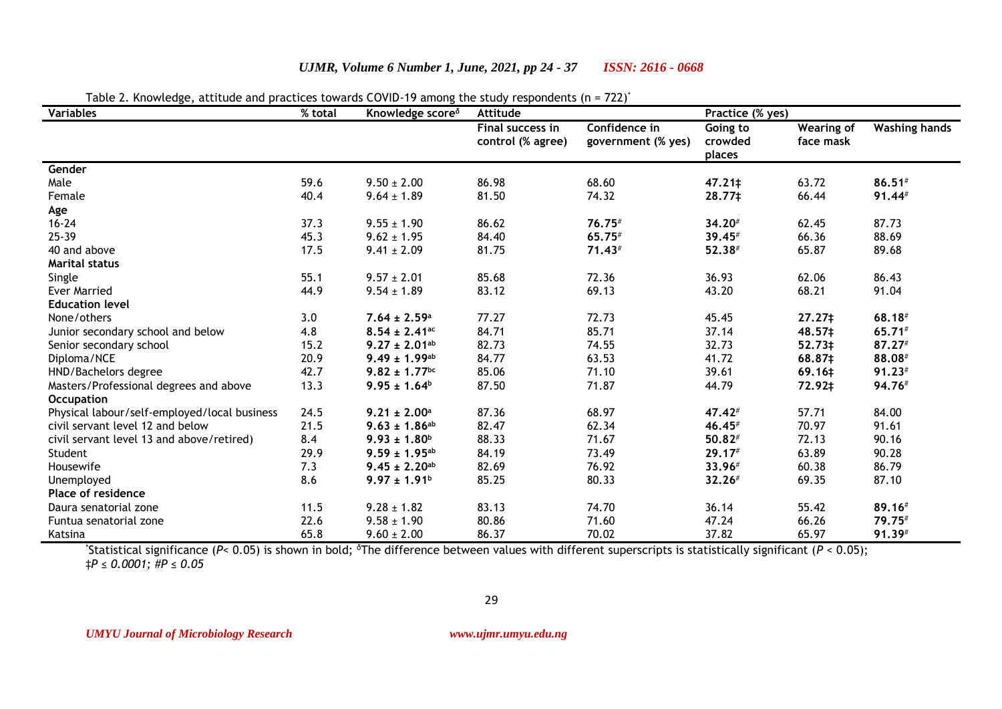| Variables                                    | ,, comaras<br>% total | Knowledge score <sup>8</sup>  | covid is allong the staay respondents (ii)<br>Attitude |                                     | Practice (% yes)              |                                |                      |
|----------------------------------------------|-----------------------|-------------------------------|--------------------------------------------------------|-------------------------------------|-------------------------------|--------------------------------|----------------------|
|                                              |                       |                               | Final success in<br>control (% agree)                  | Confidence in<br>government (% yes) | Going to<br>crowded<br>places | <b>Wearing of</b><br>face mask | <b>Washing hands</b> |
| Gender                                       |                       |                               |                                                        |                                     |                               |                                |                      |
| Male                                         | 59.6                  | $9.50 \pm 2.00$               | 86.98                                                  | 68.60                               | 47.21‡                        | 63.72                          | $86.51$ #            |
| Female                                       | 40.4                  | $9.64 \pm 1.89$               | 81.50                                                  | 74.32                               | 28.77‡                        | 66.44                          | 91.44#               |
| Age                                          |                       |                               |                                                        |                                     |                               |                                |                      |
| $16 - 24$                                    | 37.3                  | $9.55 \pm 1.90$               | 86.62                                                  | 76.75#                              | 34.20#                        | 62.45                          | 87.73                |
| 25-39                                        | 45.3                  | $9.62 \pm 1.95$               | 84.40                                                  | 65.75#                              | 39.45#                        | 66.36                          | 88.69                |
| 40 and above                                 | 17.5                  | $9.41 \pm 2.09$               | 81.75                                                  | $71.43*$                            | 52.38#                        | 65.87                          | 89.68                |
| <b>Marital status</b>                        |                       |                               |                                                        |                                     |                               |                                |                      |
| Single                                       | 55.1                  | $9.57 \pm 2.01$               | 85.68                                                  | 72.36                               | 36.93                         | 62.06                          | 86.43                |
| <b>Ever Married</b>                          | 44.9                  | $9.54 \pm 1.89$               | 83.12                                                  | 69.13                               | 43.20                         | 68.21                          | 91.04                |
| <b>Education level</b>                       |                       |                               |                                                        |                                     |                               |                                |                      |
| None/others                                  | 3.0                   | $7.64 \pm 2.59$ <sup>a</sup>  | 77.27                                                  | 72.73                               | 45.45                         | 27.27‡                         | 68.18#               |
| Junior secondary school and below            | 4.8                   | $8.54 \pm 2.41$ <sup>ac</sup> | 84.71                                                  | 85.71                               | 37.14                         | 48.57‡                         | 65.71#               |
| Senior secondary school                      | 15.2                  | $9.27 \pm 2.01^{ab}$          | 82.73                                                  | 74.55                               | 32.73                         | 52.73‡                         | 87.27#               |
| Diploma/NCE                                  | 20.9                  | $9.49 \pm 1.99$ <sup>ab</sup> | 84.77                                                  | 63.53                               | 41.72                         | 68.87‡                         | 88.08#               |
| HND/Bachelors degree                         | 42.7                  | $9.82 \pm 1.77$ <sup>bc</sup> | 85.06                                                  | 71.10                               | 39.61                         | 69.16‡                         | 91.23#               |
| Masters/Professional degrees and above       | 13.3                  | $9.95 \pm 1.64^b$             | 87.50                                                  | 71.87                               | 44.79                         | 72.92‡                         | 94.76#               |
| <b>Occupation</b>                            |                       |                               |                                                        |                                     |                               |                                |                      |
| Physical labour/self-employed/local business | 24.5                  | $9.21 \pm 2.00$ <sup>a</sup>  | 87.36                                                  | 68.97                               | 47.42#                        | 57.71                          | 84.00                |
| civil servant level 12 and below             | 21.5                  | $9.63 \pm 1.86^{ab}$          | 82.47                                                  | 62.34                               | 46.45#                        | 70.97                          | 91.61                |
| civil servant level 13 and above/retired)    | 8.4                   | $9.93 \pm 1.80^{\circ}$       | 88.33                                                  | 71.67                               | $50.82*$                      | 72.13                          | 90.16                |
| Student                                      | 29.9                  | $9.59 \pm 1.95^{ab}$          | 84.19                                                  | 73.49                               | 29.17#                        | 63.89                          | 90.28                |
| Housewife                                    | 7.3                   | $9.45 \pm 2.20^{ab}$          | 82.69                                                  | 76.92                               | 33.96#                        | 60.38                          | 86.79                |
| Unemployed                                   | 8.6                   | $9.97 \pm 1.91^b$             | 85.25                                                  | 80.33                               | 32.26#                        | 69.35                          | 87.10                |
| <b>Place of residence</b>                    |                       |                               |                                                        |                                     |                               |                                |                      |
| Daura senatorial zone                        | 11.5                  | $9.28 \pm 1.82$               | 83.13                                                  | 74.70                               | 36.14                         | 55.42                          | 89.16#               |
| Funtua senatorial zone                       | 22.6                  | $9.58 \pm 1.90$               | 80.86                                                  | 71.60                               | 47.24                         | 66.26                          | 79.75#               |
| Katsina                                      | 65.8                  | $9.60 \pm 2.00$               | 86.37                                                  | 70.02                               | 37.82                         | 65.97                          | 91.39#               |

*UJMR, Volume 6 Number 1, June, 2021, pp 24 - 37 ISSN: 2616 - 0668*

# Table 2. Knowledge, attitude and practices towards COVID-19 among the study respondents (n = 722)<sup>\*</sup>

\*Statistical significance (*P*< 0.05) is shown in bold; <sup>δ</sup>The difference between values with different superscripts is statistically significant (*P* < 0.05); ‡*P ≤ 0.0001; #P ≤ 0.05*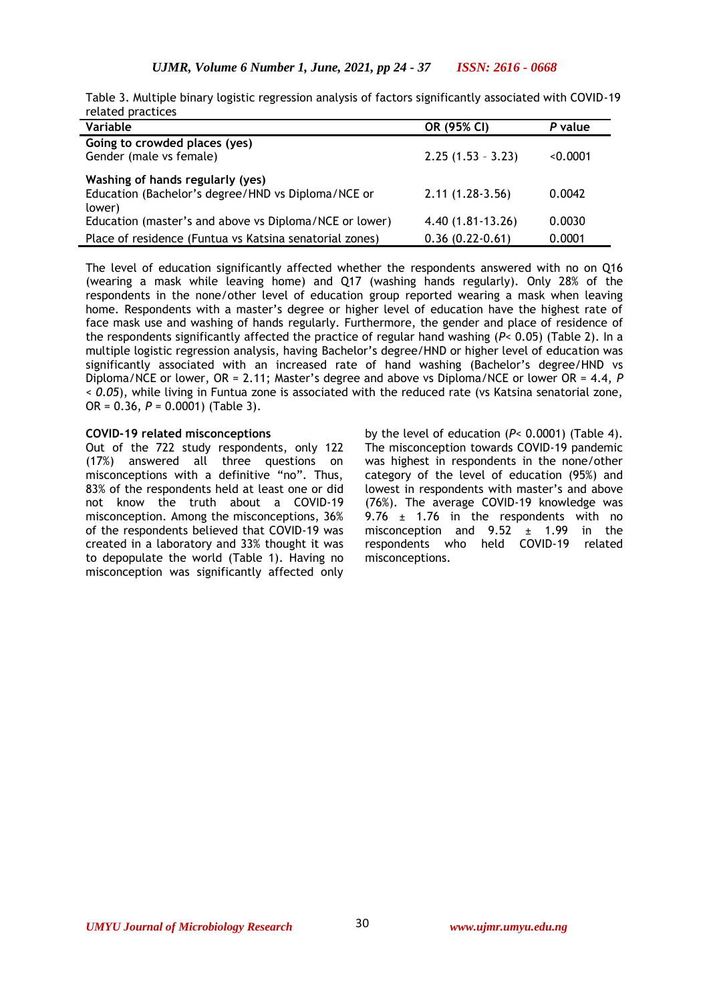| Table 3. Multiple binary logistic regression analysis of factors significantly associated with COVID-19 |  |  |  |  |
|---------------------------------------------------------------------------------------------------------|--|--|--|--|
| related practices                                                                                       |  |  |  |  |

| Variable                                                | OR (95% CI)         | P value  |
|---------------------------------------------------------|---------------------|----------|
| Going to crowded places (yes)                           |                     |          |
| Gender (male vs female)                                 | $2.25(1.53 - 3.23)$ | < 0.0001 |
| Washing of hands regularly (yes)                        |                     |          |
| Education (Bachelor's degree/HND vs Diploma/NCE or      | $2.11(1.28-3.56)$   | 0.0042   |
| lower)                                                  |                     |          |
| Education (master's and above vs Diploma/NCE or lower)  | 4.40 (1.81-13.26)   | 0.0030   |
| Place of residence (Funtua vs Katsina senatorial zones) | $0.36(0.22-0.61)$   | 0.0001   |

The level of education significantly affected whether the respondents answered with no on Q16 (wearing a mask while leaving home) and Q17 (washing hands regularly). Only 28% of the respondents in the none/other level of education group reported wearing a mask when leaving home. Respondents with a master's degree or higher level of education have the highest rate of face mask use and washing of hands regularly. Furthermore, the gender and place of residence of the respondents significantly affected the practice of regular hand washing (*P*< 0.05) (Table 2). In a multiple logistic regression analysis, having Bachelor's degree/HND or higher level of education was significantly associated with an increased rate of hand washing (Bachelor's degree/HND vs Diploma/NCE or lower, OR = 2.11; Master's degree and above vs Diploma/NCE or lower OR = 4.4, *P < 0.05*), while living in Funtua zone is associated with the reduced rate (vs Katsina senatorial zone, OR = 0.36, *P* = 0.0001) (Table 3).

#### **COVID-19 related misconceptions**

Out of the 722 study respondents, only 122 (17%) answered all three questions on misconceptions with a definitive "no". Thus, 83% of the respondents held at least one or did not know the truth about a COVID-19 misconception. Among the misconceptions, 36% of the respondents believed that COVID-19 was created in a laboratory and 33% thought it was to depopulate the world (Table 1). Having no misconception was significantly affected only by the level of education (*P*< 0.0001) (Table 4). The misconception towards COVID-19 pandemic was highest in respondents in the none/other category of the level of education (95%) and lowest in respondents with master's and above (76%). The average COVID-19 knowledge was 9.76  $\pm$  1.76 in the respondents with no misconception and  $9.52 \pm 1.99$  in the respondents who held COVID-19 related misconceptions.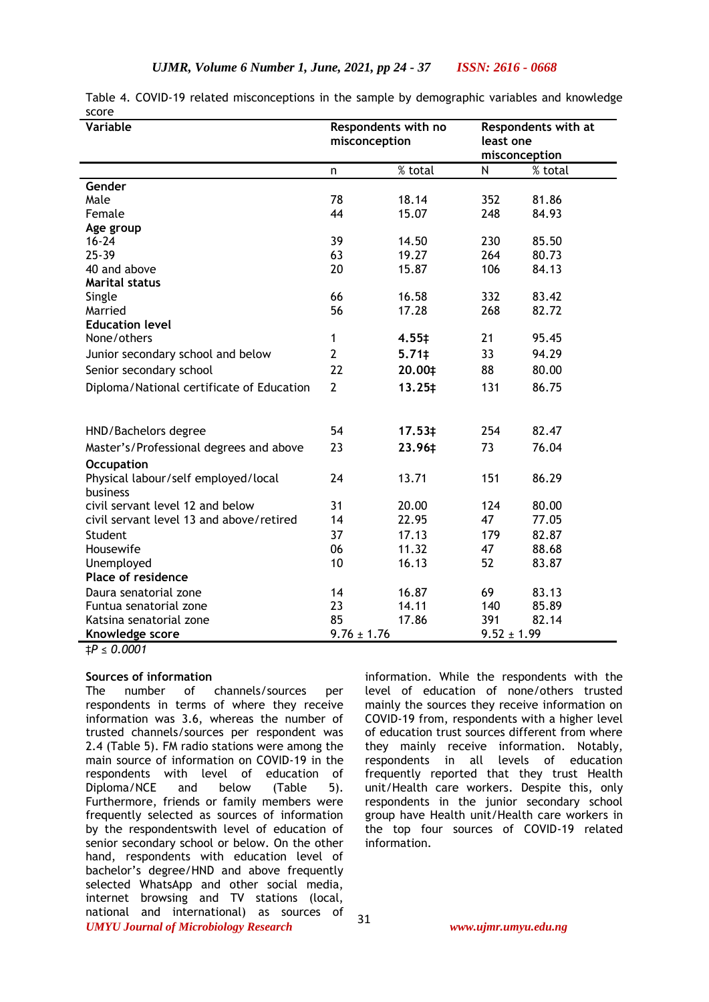| Variable                                        | Respondents with no<br>misconception |                | Respondents with at<br>least one<br>misconception |         |
|-------------------------------------------------|--------------------------------------|----------------|---------------------------------------------------|---------|
|                                                 | n                                    | % total        | N                                                 | % total |
| Gender                                          |                                      |                |                                                   |         |
| Male                                            | 78                                   | 18.14          | 352                                               | 81.86   |
| Female                                          | 44                                   | 15.07          | 248                                               | 84.93   |
| Age group                                       |                                      |                |                                                   |         |
| $16 - 24$                                       | 39                                   | 14.50          | 230                                               | 85.50   |
| $25 - 39$                                       | 63                                   | 19.27          | 264                                               | 80.73   |
| 40 and above                                    | 20                                   | 15.87          | 106                                               | 84.13   |
| <b>Marital status</b>                           |                                      |                |                                                   |         |
| Single                                          | 66                                   | 16.58          | 332                                               | 83.42   |
| Married                                         | 56                                   | 17.28          | 268                                               | 82.72   |
| <b>Education level</b>                          |                                      |                |                                                   |         |
| None/others                                     | 1                                    | 4.55‡          | 21                                                | 95.45   |
| Junior secondary school and below               | $\overline{2}$                       | $5.71 \dagger$ | 33                                                | 94.29   |
| Senior secondary school                         | 22                                   | 20.00‡         | 88                                                | 80.00   |
| Diploma/National certificate of Education       | $\overline{2}$                       | 13.25‡         | 131                                               | 86.75   |
| HND/Bachelors degree                            | 54                                   | 17.53‡         | 254                                               | 82.47   |
| Master's/Professional degrees and above         | 23                                   | 23.96‡         | 73                                                | 76.04   |
| <b>Occupation</b>                               |                                      |                |                                                   |         |
| Physical labour/self employed/local<br>business | 24                                   | 13.71          | 151                                               | 86.29   |
| civil servant level 12 and below                | 31                                   | 20.00          | 124                                               | 80.00   |
| civil servant level 13 and above/retired        | 14                                   | 22.95          | 47                                                | 77.05   |
| Student                                         | 37                                   | 17.13          | 179                                               | 82.87   |
| Housewife                                       | 06                                   | 11.32          | 47                                                | 88.68   |
| Unemployed                                      | 10                                   | 16.13          | 52                                                | 83.87   |
| Place of residence                              |                                      |                |                                                   |         |
| Daura senatorial zone                           | 14                                   | 16.87          | 69                                                | 83.13   |
| Funtua senatorial zone                          | 23                                   | 14.11          | 140                                               | 85.89   |
| Katsina senatorial zone                         | 85                                   | 17.86          | 391                                               | 82.14   |
| Knowledge score                                 | $9.76 \pm 1.76$                      |                | $9.52 \pm 1.99$                                   |         |

Table 4. COVID-19 related misconceptions in the sample by demographic variables and knowledge score

‡*P ≤ 0.0001*

## **Sources of information**

*UMYU Journal of Microbiology Research www.ujmr.umyu.edu.ng* The number of channels/sources per respondents in terms of where they receive information was 3.6, whereas the number of trusted channels/sources per respondent was 2.4 (Table 5). FM radio stations were among the main source of information on COVID-19 in the respondents with level of education of Diploma/NCE and below (Table 5). Furthermore, friends or family members were frequently selected as sources of information by the respondentswith level of education of senior secondary school or below. On the other hand, respondents with education level of bachelor's degree/HND and above frequently selected WhatsApp and other social media, internet browsing and TV stations (local, national and international) as sources of

information. While the respondents with the level of education of none/others trusted mainly the sources they receive information on COVID-19 from, respondents with a higher level of education trust sources different from where they mainly receive information. Notably, respondents in all levels of education frequently reported that they trust Health unit/Health care workers. Despite this, only respondents in the junior secondary school group have Health unit/Health care workers in the top four sources of COVID-19 related information.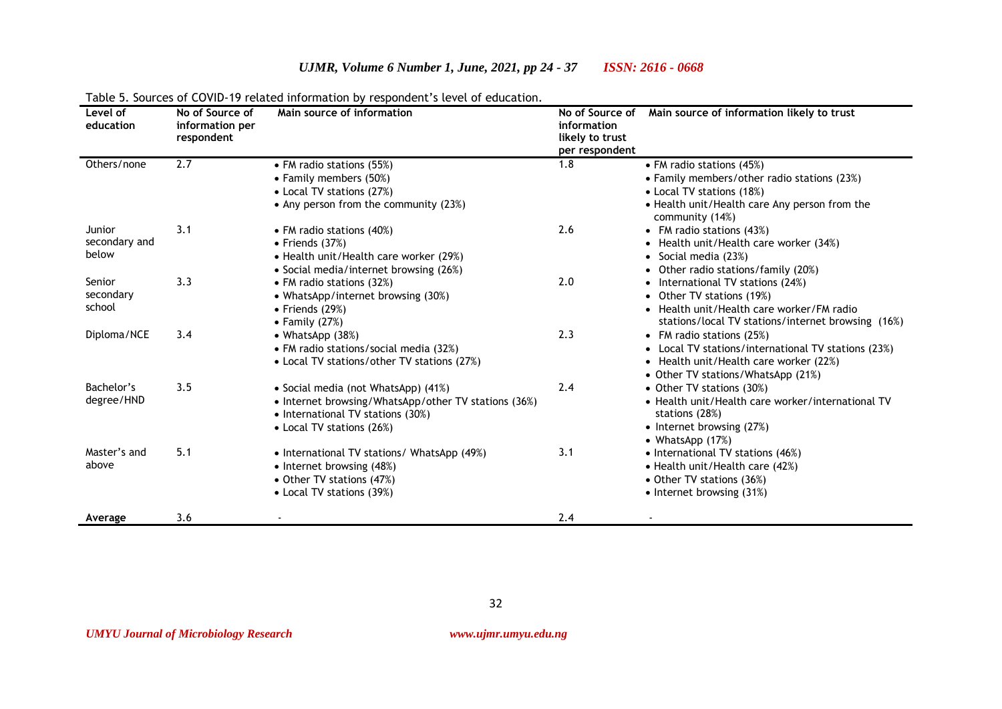#### **Level of education No of Source of information per respondent Main source of information information likely to trust per respondent Main source of information likely to trust** Others/none 2.7 • FM radio stations (55%) • Family members (50%) • Local TV stations (27%) • Any person from the community (23%) 1.8 • FM radio stations (45%) • Family members/other radio stations (23%) • Local TV stations (18%) • Health unit/Health care Any person from the community (14%) Junior secondary and below 3.1 • FM radio stations (40%) • Friends (37%) • Health unit/Health care worker (29%) • Social media/internet browsing (26%) 2.6 • FM radio stations (43%) • Health unit/Health care worker (34%) • Social media (23%) • Other radio stations/family (20%) Senior secondary school 3.3 • FM radio stations (32%) • WhatsApp/internet browsing (30%) • Friends (29%) • Family (27%) 2.0 • International TV stations (24%) • Other TV stations (19%) • Health unit/Health care worker/FM radio stations/local TV stations/internet browsing (16%) Diploma/NCE 3.4 • WhatsApp (38%) • FM radio stations/social media (32%) • Local TV stations/other TV stations (27%) 2.3 • FM radio stations (25%) • Local TV stations/international TV stations (23%) • Health unit/Health care worker (22%) • Other TV stations/WhatsApp (21%) Bachelor's degree/HND 3.5 • Social media (not WhatsApp) (41%) • Internet browsing/WhatsApp/other TV stations (36%) • International TV stations (30%) • Local TV stations (26%) 2.4 • Other TV stations (30%) • Health unit/Health care worker/international TV stations (28%) • Internet browsing (27%) • WhatsApp (17%) Master's and above 5.1 • International TV stations/ WhatsApp (49%) • Internet browsing (48%) • Other TV stations (47%) • Local TV stations (39%) 3.1 • International TV stations (46%) • Health unit/Health care (42%) • Other TV stations (36%) • Internet browsing (31%) **Average 3.6 - 2.4 - 2.4 - 2.4 - 2.4 - 2.4 - 2.4 - 2.4 - 2.4 - 2.4 - 2.4 - 2.4 - 2.4 - 2.4 - 2.4 - 2.4 - 2.4 - 2.4 - 2.4 - 2.4 - 2.4 - 2.4 - 2.4 - 2.4 - 2.4 - 2.4 - 2.4 - 2.4 - 2.4 - 2.4 - 2.4 - 2.4 - 2.4 - 2.4 - 2.4 - 2.4**

*UJMR, Volume 6 Number 1, June, 2021, pp 24 - 37 ISSN: 2616 - 0668*

## Table 5. Sources of COVID-19 related information by respondent's level of education.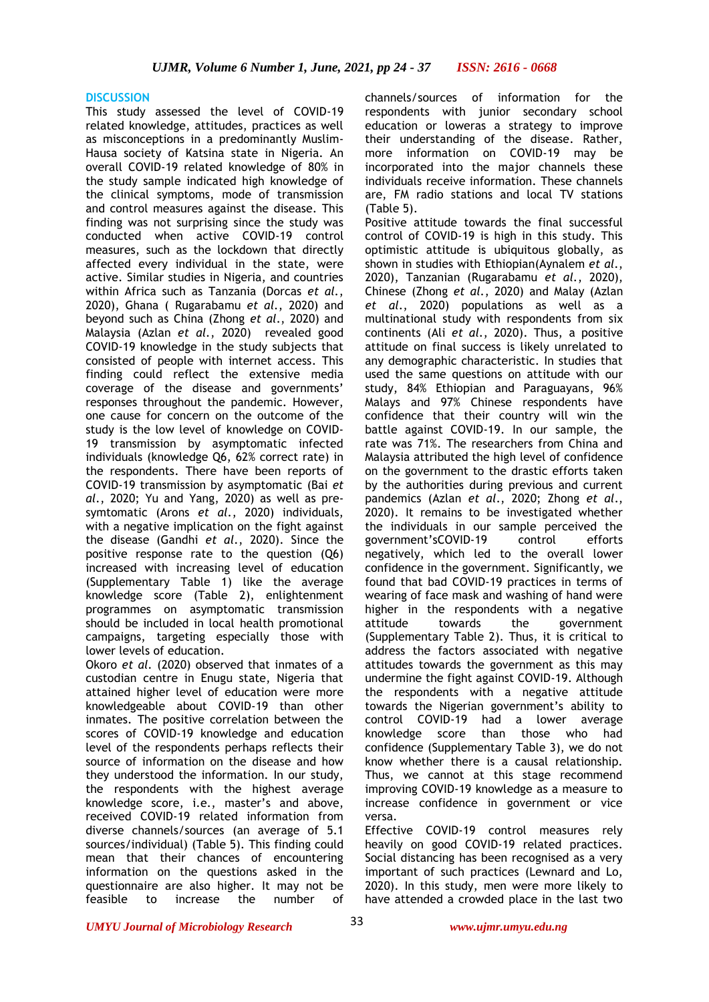## **DISCUSSION**

This study assessed the level of COVID-19 related knowledge, attitudes, practices as well as misconceptions in a predominantly Muslim-Hausa society of Katsina state in Nigeria. An overall COVID-19 related knowledge of 80% in the study sample indicated high knowledge of the clinical symptoms, mode of transmission and control measures against the disease. This finding was not surprising since the study was conducted when active COVID-19 control measures, such as the lockdown that directly affected every individual in the state, were active. Similar studies in Nigeria, and countries within Africa such as Tanzania (Dorcas *et al.*, 2020), Ghana ( Rugarabamu *et al.*, 2020) and beyond such as China (Zhong *et al*., 2020) and Malaysia (Azlan *et al.*, 2020) revealed good COVID-19 knowledge in the study subjects that consisted of people with internet access. This finding could reflect the extensive media coverage of the disease and governments' responses throughout the pandemic. However, one cause for concern on the outcome of the study is the low level of knowledge on COVID-19 transmission by asymptomatic infected individuals (knowledge Q6, 62% correct rate) in the respondents. There have been reports of COVID-19 transmission by asymptomatic (Bai *et al.*, 2020; Yu and Yang, 2020) as well as presymtomatic (Arons *et al.*, 2020) individuals, with a negative implication on the fight against the disease (Gandhi *et al.*, 2020). Since the positive response rate to the question (Q6) increased with increasing level of education (Supplementary Table 1) like the average knowledge score (Table 2), enlightenment programmes on asymptomatic transmission should be included in local health promotional campaigns, targeting especially those with lower levels of education.

Okoro *et al.* (2020) observed that inmates of a custodian centre in Enugu state, Nigeria that attained higher level of education were more knowledgeable about COVID-19 than other inmates. The positive correlation between the scores of COVID-19 knowledge and education level of the respondents perhaps reflects their source of information on the disease and how they understood the information. In our study, the respondents with the highest average knowledge score, i.e., master's and above, received COVID-19 related information from diverse channels/sources (an average of 5.1 sources/individual) (Table 5). This finding could mean that their chances of encountering information on the questions asked in the questionnaire are also higher. It may not be feasible to increase the number of

channels/sources of information for the respondents with junior secondary school education or loweras a strategy to improve their understanding of the disease. Rather, more information on COVID-19 may be incorporated into the major channels these individuals receive information. These channels are, FM radio stations and local TV stations (Table 5).

Positive attitude towards the final successful control of COVID-19 is high in this study. This optimistic attitude is ubiquitous globally, as shown in studies with Ethiopian(Aynalem *et al.*, 2020), Tanzanian (Rugarabamu *et al.*, 2020), Chinese (Zhong *et al.*, 2020) and Malay (Azlan *et al.*, 2020) populations as well as a multinational study with respondents from six continents (Ali *et al.*, 2020). Thus, a positive attitude on final success is likely unrelated to any demographic characteristic. In studies that used the same questions on attitude with our study, 84% Ethiopian and Paraguayans, 96% Malays and 97% Chinese respondents have confidence that their country will win the battle against COVID-19. In our sample, the rate was 71%. The researchers from China and Malaysia attributed the high level of confidence on the government to the drastic efforts taken by the authorities during previous and current pandemics (Azlan *et al*., 2020; Zhong *et al*., 2020). It remains to be investigated whether the individuals in our sample perceived the government'sCOVID-19 control efforts negatively, which led to the overall lower confidence in the government. Significantly, we found that bad COVID-19 practices in terms of wearing of face mask and washing of hand were higher in the respondents with a negative attitude towards the government (Supplementary Table 2). Thus, it is critical to address the factors associated with negative attitudes towards the government as this may undermine the fight against COVID-19. Although the respondents with a negative attitude towards the Nigerian government's ability to control COVID-19 had a lower average knowledge score than those who had confidence (Supplementary Table 3), we do not know whether there is a causal relationship. Thus, we cannot at this stage recommend improving COVID-19 knowledge as a measure to increase confidence in government or vice versa.

Effective COVID-19 control measures rely heavily on good COVID-19 related practices. Social distancing has been recognised as a very important of such practices (Lewnard and Lo, 2020). In this study, men were more likely to have attended a crowded place in the last two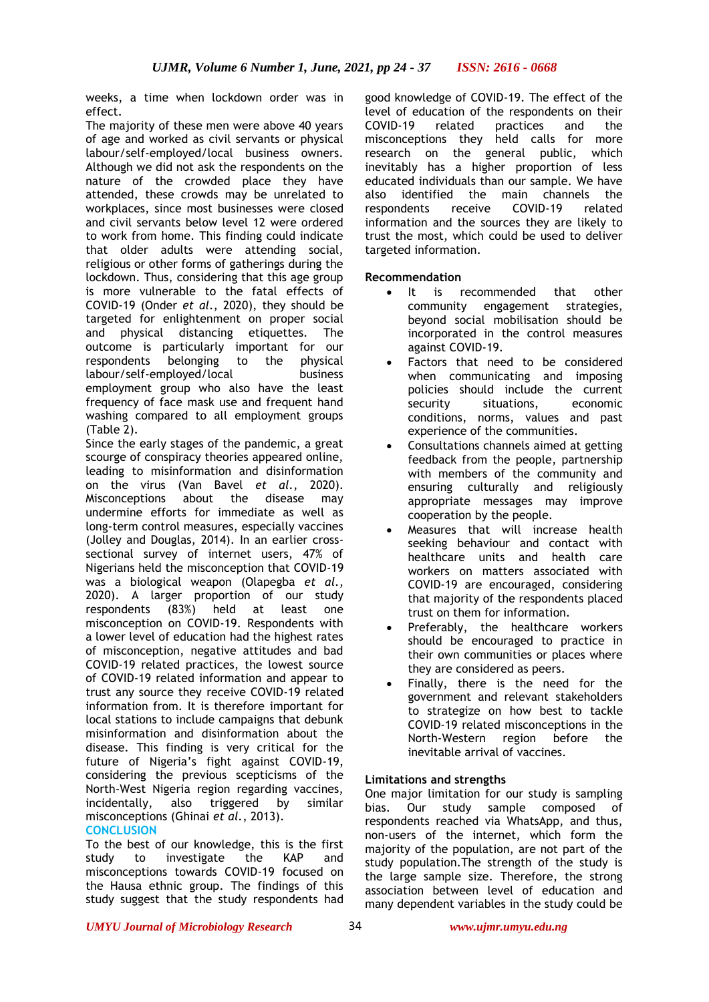weeks, a time when lockdown order was in effect.

The majority of these men were above 40 years of age and worked as civil servants or physical labour/self-employed/local business owners. Although we did not ask the respondents on the nature of the crowded place they have attended, these crowds may be unrelated to workplaces, since most businesses were closed and civil servants below level 12 were ordered to work from home. This finding could indicate that older adults were attending social, religious or other forms of gatherings during the lockdown. Thus, considering that this age group is more vulnerable to the fatal effects of COVID-19 (Onder *et al*., 2020), they should be targeted for enlightenment on proper social and physical distancing etiquettes. The outcome is particularly important for our respondents belonging to the physical labour/self-employed/local business employment group who also have the least frequency of face mask use and frequent hand washing compared to all employment groups (Table 2).

Since the early stages of the pandemic, a great scourge of conspiracy theories appeared online, leading to misinformation and disinformation on the virus (Van Bavel *et al.*, 2020). Misconceptions about the disease may undermine efforts for immediate as well as long-term control measures, especially vaccines (Jolley and Douglas, 2014). In an earlier crosssectional survey of internet users, 47% of Nigerians held the misconception that COVID-19 was a biological weapon (Olapegba *et al.*, 2020). A larger proportion of our study respondents (83%) held at least one misconception on COVID-19. Respondents with a lower level of education had the highest rates of misconception, negative attitudes and bad COVID-19 related practices, the lowest source of COVID-19 related information and appear to trust any source they receive COVID-19 related information from. It is therefore important for local stations to include campaigns that debunk misinformation and disinformation about the disease. This finding is very critical for the future of Nigeria's fight against COVID-19, considering the previous scepticisms of the North-West Nigeria region regarding vaccines,<br>incidentally. also triggered by similar also triggered by similar misconceptions (Ghinai *et al.*, 2013). **CONCLUSION**

To the best of our knowledge, this is the first study to investigate the KAP and misconceptions towards COVID-19 focused on the Hausa ethnic group. The findings of this study suggest that the study respondents had

good knowledge of COVID-19. The effect of the level of education of the respondents on their COVID-19 related practices and the misconceptions they held calls for more research on the general public, which inevitably has a higher proportion of less educated individuals than our sample. We have also identified the main channels the respondents receive COVID-19 related information and the sources they are likely to trust the most, which could be used to deliver targeted information.

# **Recommendation**

- It is recommended that other community engagement strategies, beyond social mobilisation should be incorporated in the control measures against COVID-19.
- Factors that need to be considered when communicating and imposing policies should include the current security situations, economic conditions, norms, values and past experience of the communities.
- Consultations channels aimed at getting feedback from the people, partnership with members of the community and ensuring culturally and religiously appropriate messages may improve cooperation by the people.
- Measures that will increase health seeking behaviour and contact with healthcare units and health care workers on matters associated with COVID-19 are encouraged, considering that majority of the respondents placed trust on them for information.
- Preferably, the healthcare workers should be encouraged to practice in their own communities or places where they are considered as peers.
- Finally, there is the need for the government and relevant stakeholders to strategize on how best to tackle COVID-19 related misconceptions in the North-Western region before the inevitable arrival of vaccines.

# **Limitations and strengths**

One major limitation for our study is sampling bias. Our study sample composed of respondents reached via WhatsApp, and thus, non-users of the internet, which form the majority of the population, are not part of the study population.The strength of the study is the large sample size. Therefore, the strong association between level of education and many dependent variables in the study could be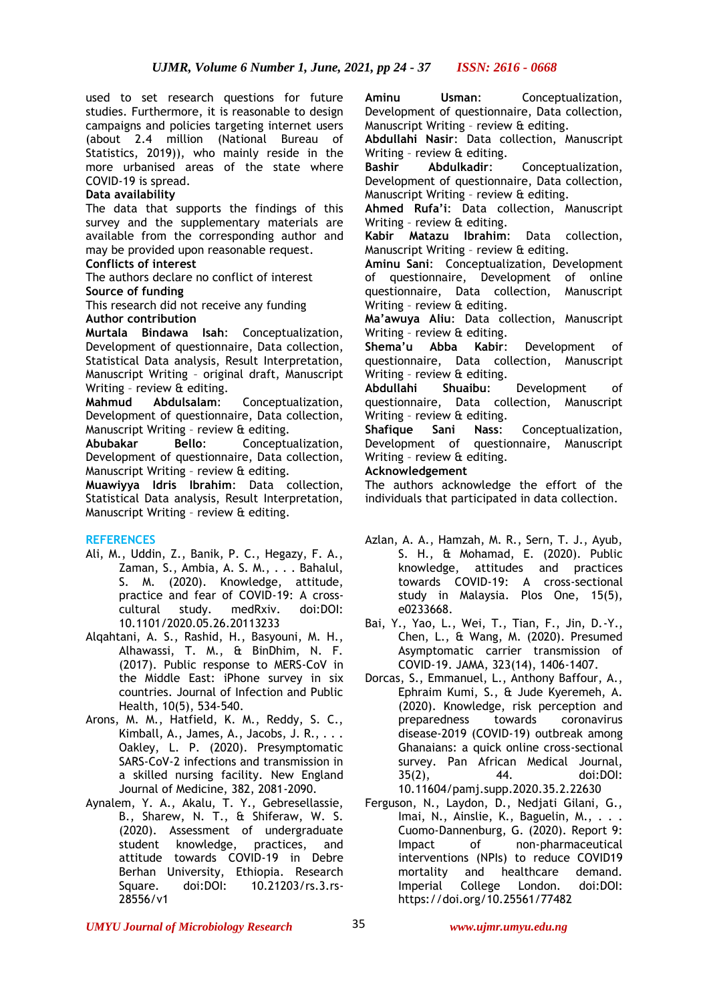used to set research questions for future studies. Furthermore, it is reasonable to design campaigns and policies targeting internet users (about 2.4 million (National Bureau of Statistics, 2019)), who mainly reside in the more urbanised areas of the state where COVID-19 is spread.

## **Data availability**

The data that supports the findings of this survey and the supplementary materials are available from the corresponding author and may be provided upon reasonable request.

**Conflicts of interest**

The authors declare no conflict of interest **Source of funding**

This research did not receive any funding **Author contribution**

**Murtala Bindawa Isah**: Conceptualization, Development of questionnaire, Data collection, Statistical Data analysis, Result Interpretation, Manuscript Writing – original draft, Manuscript Writing – review & editing.

**Mahmud Abdulsalam**: Conceptualization, Development of questionnaire, Data collection, Manuscript Writing – review & editing.

**Abubakar Bello**: Conceptualization, Development of questionnaire, Data collection, Manuscript Writing – review & editing.

**Muawiyya Idris Ibrahim**: Data collection, Statistical Data analysis, Result Interpretation, Manuscript Writing – review & editing.

## **REFERENCES**

- Ali, M., Uddin, Z., Banik, P. C., Hegazy, F. A., Zaman, S., Ambia, A. S. M., . . . Bahalul, S. M. (2020). Knowledge, attitude, practice and fear of COVID-19: A crosscultural study. medRxiv. doi:DOI: 10.1101/2020.05.26.20113233
- Alqahtani, A. S., Rashid, H., Basyouni, M. H., Alhawassi, T. M., & BinDhim, N. F. (2017). Public response to MERS-CoV in the Middle East: iPhone survey in six countries. Journal of Infection and Public Health, 10(5), 534-540.
- Arons, M. M., Hatfield, K. M., Reddy, S. C., Kimball, A., James, A., Jacobs, J. R., . . . Oakley, L. P. (2020). Presymptomatic SARS-CoV-2 infections and transmission in a skilled nursing facility. New England Journal of Medicine, 382, 2081-2090.
- Aynalem, Y. A., Akalu, T. Y., Gebresellassie, B., Sharew, N. T., & Shiferaw, W. S. (2020). Assessment of undergraduate student knowledge, practices, and attitude towards COVID-19 in Debre Berhan University, Ethiopia. Research Square. doi:DOI: 10.21203/rs.3.rs-28556/v1

**Aminu Usman**: Conceptualization, Development of questionnaire, Data collection, Manuscript Writing – review & editing.

**Abdullahi Nasir**: Data collection, Manuscript Writing – review & editing.

**Bashir Abdulkadir**: Conceptualization, Development of questionnaire, Data collection, Manuscript Writing – review & editing.

**Ahmed Rufa'i**: Data collection, Manuscript Writing – review & editing.

**Kabir Matazu Ibrahim**: Data collection, Manuscript Writing – review & editing.

**Aminu Sani**: Conceptualization, Development of questionnaire, Development of online questionnaire, Data collection, Manuscript Writing – review & editing.

**Ma'awuya Aliu**: Data collection, Manuscript Writing – review & editing.

**Shema'u Abba Kabir**: Development of questionnaire, Data collection, Manuscript Writing – review & editing.

**Abdullahi Shuaibu**: Development of questionnaire, Data collection, Manuscript Writing – review & editing.

**Shafique Sani Nass**: Conceptualization, Development of questionnaire, Manuscript Writing – review & editing.

## **Acknowledgement**

The authors acknowledge the effort of the individuals that participated in data collection.

- Azlan, A. A., Hamzah, M. R., Sern, T. J., Ayub, S. H., & Mohamad, E. (2020). Public<br>knowledge. attitudes and practices attitudes and practices towards COVID-19: A cross-sectional study in Malaysia. Plos One, 15(5), e0233668.
- Bai, Y., Yao, L., Wei, T., Tian, F., Jin, D.-Y., Chen, L., & Wang, M. (2020). Presumed Asymptomatic carrier transmission of COVID-19. JAMA, 323(14), 1406-1407.
- Dorcas, S., Emmanuel, L., Anthony Baffour, A., Ephraim Kumi, S., & Jude Kyeremeh, A. (2020). Knowledge, risk perception and<br>preparedness towards coronavirus preparedness towards coronavirus disease-2019 (COVID-19) outbreak among Ghanaians: a quick online cross-sectional survey. Pan African Medical Journal, 35(2), 44. doi:DOI: 10.11604/pamj.supp.2020.35.2.22630
- Ferguson, N., Laydon, D., Nedjati Gilani, G., Imai, N., Ainslie, K., Baguelin, M., ... Cuomo-Dannenburg, G. (2020). Report 9: Impact of non-pharmaceutical interventions (NPIs) to reduce COVID19 mortality and healthcare demand. Imperial College London. doi:DOI: https://doi.org/10.25561/77482

*UMYU Journal of Microbiology Research www.ujmr.umyu.edu.ng*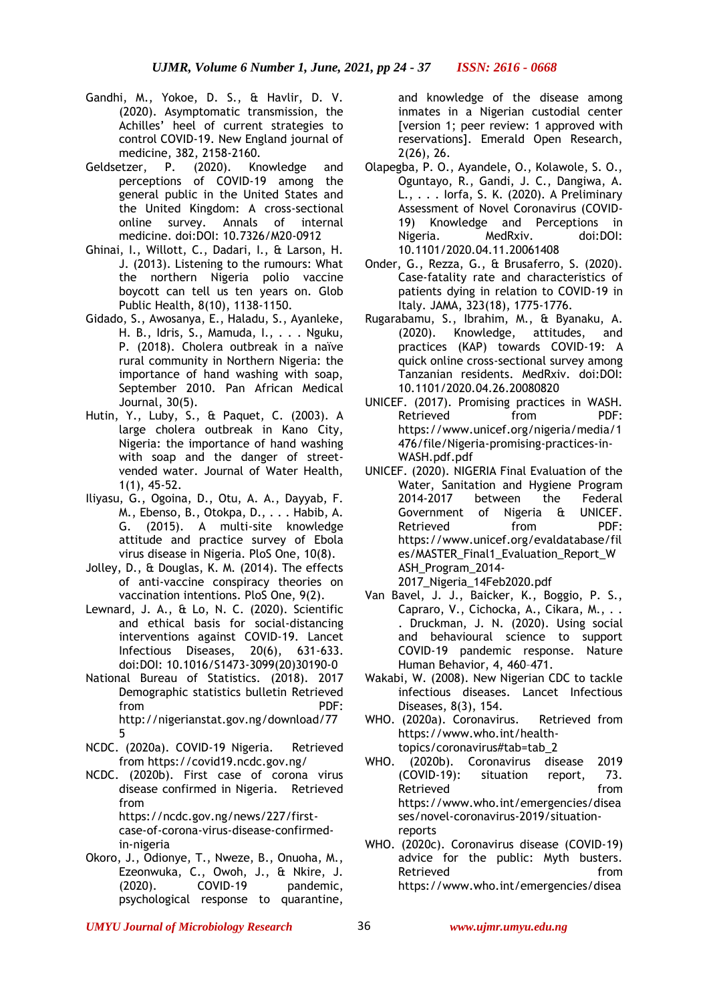- Gandhi, M., Yokoe, D. S., & Havlir, D. V. (2020). Asymptomatic transmission, the Achilles' heel of current strategies to control COVID-19. New England journal of medicine, 382, 2158-2160.
- Geldsetzer, P. (2020). Knowledge and perceptions of COVID-19 among the general public in the United States and the United Kingdom: A cross-sectional online survey. Annals of internal medicine. doi:DOI: 10.7326/M20-0912
- Ghinai, I., Willott, C., Dadari, I., & Larson, H. J. (2013). Listening to the rumours: What the northern Nigeria polio vaccine boycott can tell us ten years on. Glob Public Health, 8(10), 1138-1150.
- Gidado, S., Awosanya, E., Haladu, S., Ayanleke, H. B., Idris, S., Mamuda, I., . . . Nguku, P. (2018). Cholera outbreak in a naïve rural community in Northern Nigeria: the importance of hand washing with soap, September 2010. Pan African Medical Journal, 30(5).
- Hutin, Y., Luby, S., & Paquet, C. (2003). A large cholera outbreak in Kano City, Nigeria: the importance of hand washing with soap and the danger of streetvended water. Journal of Water Health, 1(1), 45-52.
- Iliyasu, G., Ogoina, D., Otu, A. A., Dayyab, F. M., Ebenso, B., Otokpa, D., . . . Habib, A. G. (2015). A multi-site knowledge attitude and practice survey of Ebola virus disease in Nigeria. PloS One, 10(8).
- Jolley, D., & Douglas, K. M. (2014). The effects of anti-vaccine conspiracy theories on vaccination intentions. PloS One, 9(2).
- Lewnard, J. A., & Lo, N. C. (2020). Scientific and ethical basis for social-distancing interventions against COVID-19. Lancet Infectious Diseases, 20(6), 631-633. doi:DOI: 10.1016/S1473-3099(20)30190-0
- National Bureau of Statistics. (2018). 2017 Demographic statistics bulletin Retrieved from PDF: http://nigerianstat.gov.ng/download/77 5
- NCDC. (2020a). COVID-19 Nigeria. Retrieved from https://covid19.ncdc.gov.ng/
- NCDC. (2020b). First case of corona virus disease confirmed in Nigeria. Retrieved from https://ncdc.gov.ng/news/227/first-

case-of-corona-virus-disease-confirmedin-nigeria

Okoro, J., Odionye, T., Nweze, B., Onuoha, M., Ezeonwuka, C., Owoh, J., & Nkire, J. (2020). COVID-19 pandemic, psychological response to quarantine, and knowledge of the disease among inmates in a Nigerian custodial center [version 1; peer review: 1 approved with reservations]. Emerald Open Research, 2(26), 26.

- Olapegba, P. O., Ayandele, O., Kolawole, S. O., Oguntayo, R., Gandi, J. C., Dangiwa, A. L., . . . Iorfa, S. K. (2020). A Preliminary Assessment of Novel Coronavirus (COVID-19) Knowledge and Perceptions in Nigeria. MedRxiv. doi:DOI: 10.1101/2020.04.11.20061408
- Onder, G., Rezza, G., & Brusaferro, S. (2020). Case-fatality rate and characteristics of patients dying in relation to COVID-19 in Italy. JAMA, 323(18), 1775-1776.
- Rugarabamu, S., Ibrahim, M., & Byanaku, A. (2020). Knowledge, attitudes, and practices (KAP) towards COVID-19: A quick online cross-sectional survey among Tanzanian residents. MedRxiv. doi:DOI: 10.1101/2020.04.26.20080820
- UNICEF. (2017). Promising practices in WASH. Retrieved from PDF: https://www.unicef.org/nigeria/media/1 476/file/Nigeria-promising-practices-in-WASH.pdf.pdf
- UNICEF. (2020). NIGERIA Final Evaluation of the Water, Sanitation and Hygiene Program 2014-2017 between the Federal Government of Nigeria & UNICEF. Retrieved from PDF: https://www.unicef.org/evaldatabase/fil es/MASTER\_Final1\_Evaluation\_Report\_W ASH\_Program\_2014- 2017\_Nigeria\_14Feb2020.pdf
- Van Bavel, J. J., Baicker, K., Boggio, P. S., Capraro, V., Cichocka, A., Cikara, M., . . . Druckman, J. N. (2020). Using social and behavioural science to support COVID-19 pandemic response. Nature Human Behavior, 4, 460–471.
- Wakabi, W. (2008). New Nigerian CDC to tackle infectious diseases. Lancet Infectious Diseases, 8(3), 154.
- WHO. (2020a). Coronavirus. Retrieved from https://www.who.int/healthtopics/coronavirus#tab=tab\_2
- WHO. (2020b). Coronavirus disease 2019 (COVID-19): situation report, 73. Retrieved from **from** https://www.who.int/emergencies/disea ses/novel-coronavirus-2019/situationreports
- WHO. (2020c). Coronavirus disease (COVID-19) advice for the public: Myth busters. Retrieved from https://www.who.int/emergencies/disea

*UMYU Journal of Microbiology Research www.ujmr.umyu.edu.ng*